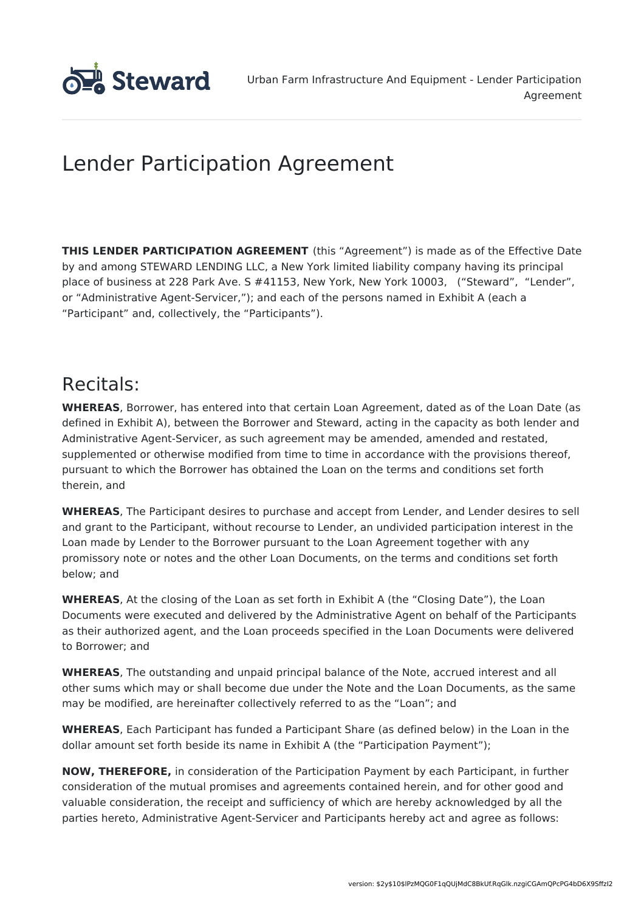

# Lender Participation Agreement

**THIS LENDER PARTICIPATION AGREEMENT** (this "Agreement") is made as of the Effective Date by and among STEWARD LENDING LLC, a New York limited liability company having its principal place of business at 228 Park Ave. S #41153, New York, New York 10003, ("Steward", "Lender", or "Administrative Agent-Servicer,"); and each of the persons named in Exhibit A (each a "Participant" and, collectively, the "Participants").

### Recitals:

**WHEREAS**, Borrower, has entered into that certain Loan Agreement, dated as of the Loan Date (as defined in Exhibit A), between the Borrower and Steward, acting in the capacity as both lender and Administrative Agent-Servicer, as such agreement may be amended, amended and restated, supplemented or otherwise modified from time to time in accordance with the provisions thereof, pursuant to which the Borrower has obtained the Loan on the terms and conditions set forth therein, and

**WHEREAS**, The Participant desires to purchase and accept from Lender, and Lender desires to sell and grant to the Participant, without recourse to Lender, an undivided participation interest in the Loan made by Lender to the Borrower pursuant to the Loan Agreement together with any promissory note or notes and the other Loan Documents, on the terms and conditions set forth below; and

**WHEREAS**, At the closing of the Loan as set forth in Exhibit A (the "Closing Date"), the Loan Documents were executed and delivered by the Administrative Agent on behalf of the Participants as their authorized agent, and the Loan proceeds specified in the Loan Documents were delivered to Borrower; and

**WHEREAS**, The outstanding and unpaid principal balance of the Note, accrued interest and all other sums which may or shall become due under the Note and the Loan Documents, as the same may be modified, are hereinafter collectively referred to as the "Loan"; and

**WHEREAS**, Each Participant has funded a Participant Share (as defined below) in the Loan in the dollar amount set forth beside its name in Exhibit A (the "Participation Payment");

**NOW, THEREFORE,** in consideration of the Participation Payment by each Participant, in further consideration of the mutual promises and agreements contained herein, and for other good and valuable consideration, the receipt and sufficiency of which are hereby acknowledged by all the parties hereto, Administrative Agent-Servicer and Participants hereby act and agree as follows: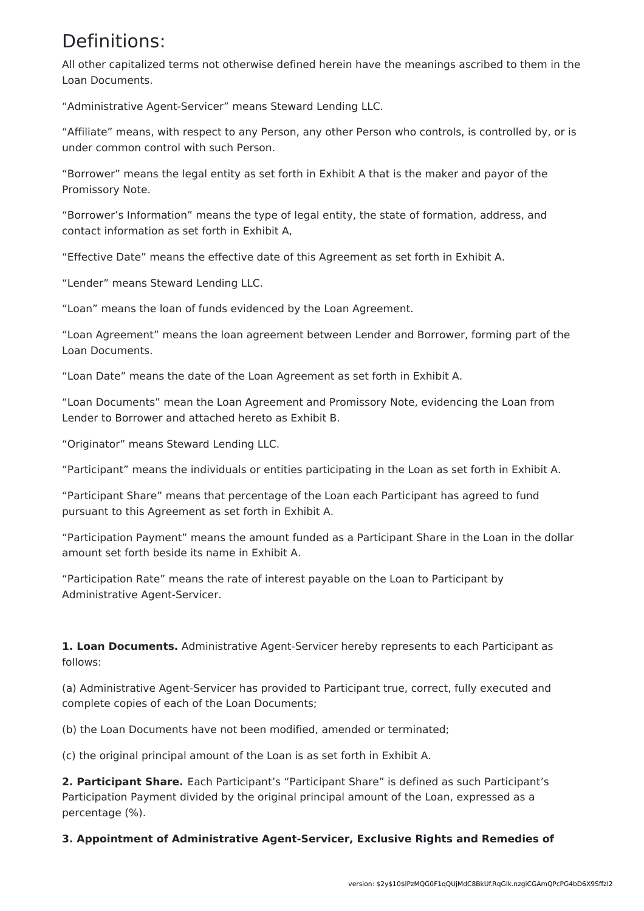### Definitions:

All other capitalized terms not otherwise defined herein have the meanings ascribed to them in the Loan Documents.

"Administrative Agent-Servicer" means Steward Lending LLC.

"Affiliate" means, with respect to any Person, any other Person who controls, is controlled by, or is under common control with such Person.

"Borrower" means the legal entity as set forth in Exhibit A that is the maker and payor of the Promissory Note.

"Borrower's Information" means the type of legal entity, the state of formation, address, and contact information as set forth in Exhibit A,

"Effective Date" means the effective date of this Agreement as set forth in Exhibit A.

"Lender" means Steward Lending LLC.

"Loan" means the loan of funds evidenced by the Loan Agreement.

"Loan Agreement" means the loan agreement between Lender and Borrower, forming part of the Loan Documents.

"Loan Date" means the date of the Loan Agreement as set forth in Exhibit A.

"Loan Documents" mean the Loan Agreement and Promissory Note, evidencing the Loan from Lender to Borrower and attached hereto as Exhibit B.

"Originator" means Steward Lending LLC.

"Participant" means the individuals or entities participating in the Loan as set forth in Exhibit A.

"Participant Share" means that percentage of the Loan each Participant has agreed to fund pursuant to this Agreement as set forth in Exhibit A.

"Participation Payment" means the amount funded as a Participant Share in the Loan in the dollar amount set forth beside its name in Exhibit A.

"Participation Rate" means the rate of interest payable on the Loan to Participant by Administrative Agent-Servicer.

**1. Loan Documents.** Administrative Agent-Servicer hereby represents to each Participant as follows:

(a) Administrative Agent-Servicer has provided to Participant true, correct, fully executed and complete copies of each of the Loan Documents;

(b) the Loan Documents have not been modified, amended or terminated;

(c) the original principal amount of the Loan is as set forth in Exhibit A.

**2. Participant Share.** Each Participant's "Participant Share" is defined as such Participant's Participation Payment divided by the original principal amount of the Loan, expressed as a percentage (%).

**3. Appointment of Administrative Agent-Servicer, Exclusive Rights and Remedies of**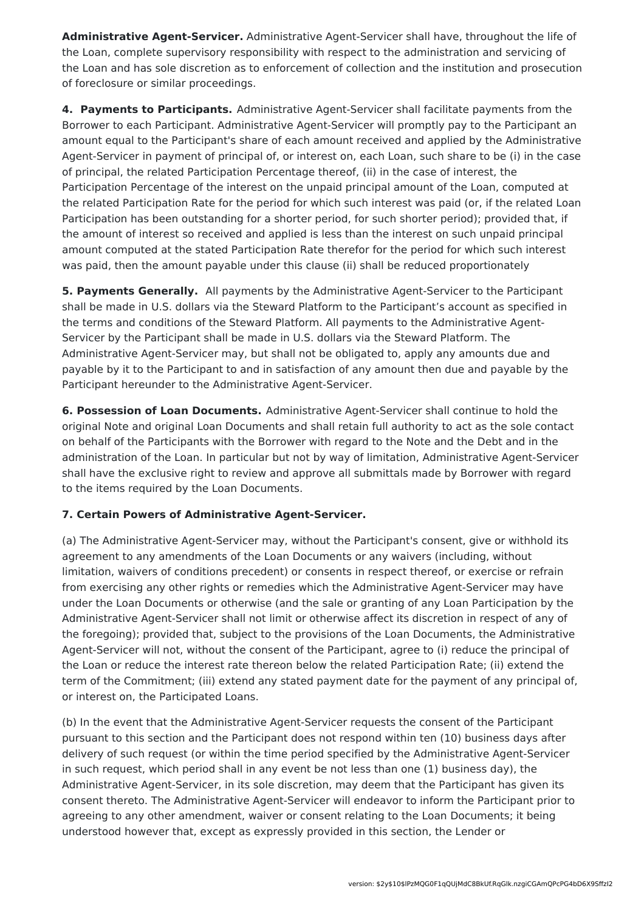**Administrative Agent-Servicer.** Administrative Agent-Servicer shall have, throughout the life of the Loan, complete supervisory responsibility with respect to the administration and servicing of the Loan and has sole discretion as to enforcement of collection and the institution and prosecution of foreclosure or similar proceedings.

**4. Payments to Participants.** Administrative Agent-Servicer shall facilitate payments from the Borrower to each Participant. Administrative Agent-Servicer will promptly pay to the Participant an amount equal to the Participant's share of each amount received and applied by the Administrative Agent-Servicer in payment of principal of, or interest on, each Loan, such share to be (i) in the case of principal, the related Participation Percentage thereof, (ii) in the case of interest, the Participation Percentage of the interest on the unpaid principal amount of the Loan, computed at the related Participation Rate for the period for which such interest was paid (or, if the related Loan Participation has been outstanding for a shorter period, for such shorter period); provided that, if the amount of interest so received and applied is less than the interest on such unpaid principal amount computed at the stated Participation Rate therefor for the period for which such interest was paid, then the amount payable under this clause (ii) shall be reduced proportionately

**5. Payments Generally.** All payments by the Administrative Agent-Servicer to the Participant shall be made in U.S. dollars via the Steward Platform to the Participant's account as specified in the terms and conditions of the Steward Platform. All payments to the Administrative Agent-Servicer by the Participant shall be made in U.S. dollars via the Steward Platform. The Administrative Agent-Servicer may, but shall not be obligated to, apply any amounts due and payable by it to the Participant to and in satisfaction of any amount then due and payable by the Participant hereunder to the Administrative Agent-Servicer.

**6. Possession of Loan Documents.** Administrative Agent-Servicer shall continue to hold the original Note and original Loan Documents and shall retain full authority to act as the sole contact on behalf of the Participants with the Borrower with regard to the Note and the Debt and in the administration of the Loan. In particular but not by way of limitation, Administrative Agent-Servicer shall have the exclusive right to review and approve all submittals made by Borrower with regard to the items required by the Loan Documents.

#### **7. Certain Powers of Administrative Agent-Servicer.**

(a) The Administrative Agent-Servicer may, without the Participant's consent, give or withhold its agreement to any amendments of the Loan Documents or any waivers (including, without limitation, waivers of conditions precedent) or consents in respect thereof, or exercise or refrain from exercising any other rights or remedies which the Administrative Agent-Servicer may have under the Loan Documents or otherwise (and the sale or granting of any Loan Participation by the Administrative Agent-Servicer shall not limit or otherwise affect its discretion in respect of any of the foregoing); provided that, subject to the provisions of the Loan Documents, the Administrative Agent-Servicer will not, without the consent of the Participant, agree to (i) reduce the principal of the Loan or reduce the interest rate thereon below the related Participation Rate; (ii) extend the term of the Commitment; (iii) extend any stated payment date for the payment of any principal of, or interest on, the Participated Loans.

(b) In the event that the Administrative Agent-Servicer requests the consent of the Participant pursuant to this section and the Participant does not respond within ten (10) business days after delivery of such request (or within the time period specified by the Administrative Agent-Servicer in such request, which period shall in any event be not less than one (1) business day), the Administrative Agent-Servicer, in its sole discretion, may deem that the Participant has given its consent thereto. The Administrative Agent-Servicer will endeavor to inform the Participant prior to agreeing to any other amendment, waiver or consent relating to the Loan Documents; it being understood however that, except as expressly provided in this section, the Lender or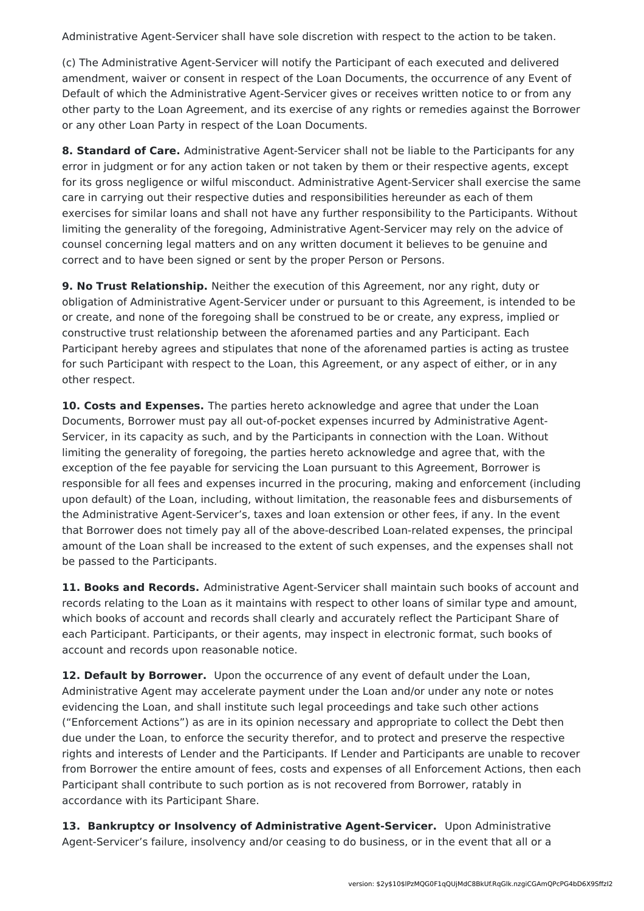Administrative Agent-Servicer shall have sole discretion with respect to the action to be taken.

(c) The Administrative Agent-Servicer will notify the Participant of each executed and delivered amendment, waiver or consent in respect of the Loan Documents, the occurrence of any Event of Default of which the Administrative Agent-Servicer gives or receives written notice to or from any other party to the Loan Agreement, and its exercise of any rights or remedies against the Borrower or any other Loan Party in respect of the Loan Documents.

**8. Standard of Care.** Administrative Agent-Servicer shall not be liable to the Participants for any error in judgment or for any action taken or not taken by them or their respective agents, except for its gross negligence or wilful misconduct. Administrative Agent-Servicer shall exercise the same care in carrying out their respective duties and responsibilities hereunder as each of them exercises for similar loans and shall not have any further responsibility to the Participants. Without limiting the generality of the foregoing, Administrative Agent-Servicer may rely on the advice of counsel concerning legal matters and on any written document it believes to be genuine and correct and to have been signed or sent by the proper Person or Persons.

**9. No Trust Relationship.** Neither the execution of this Agreement, nor any right, duty or obligation of Administrative Agent-Servicer under or pursuant to this Agreement, is intended to be or create, and none of the foregoing shall be construed to be or create, any express, implied or constructive trust relationship between the aforenamed parties and any Participant. Each Participant hereby agrees and stipulates that none of the aforenamed parties is acting as trustee for such Participant with respect to the Loan, this Agreement, or any aspect of either, or in any other respect.

**10. Costs and Expenses.** The parties hereto acknowledge and agree that under the Loan Documents, Borrower must pay all out-of-pocket expenses incurred by Administrative Agent-Servicer, in its capacity as such, and by the Participants in connection with the Loan. Without limiting the generality of foregoing, the parties hereto acknowledge and agree that, with the exception of the fee payable for servicing the Loan pursuant to this Agreement, Borrower is responsible for all fees and expenses incurred in the procuring, making and enforcement (including upon default) of the Loan, including, without limitation, the reasonable fees and disbursements of the Administrative Agent-Servicer's, taxes and loan extension or other fees, if any. In the event that Borrower does not timely pay all of the above-described Loan-related expenses, the principal amount of the Loan shall be increased to the extent of such expenses, and the expenses shall not be passed to the Participants.

**11. Books and Records.** Administrative Agent-Servicer shall maintain such books of account and records relating to the Loan as it maintains with respect to other loans of similar type and amount, which books of account and records shall clearly and accurately reflect the Participant Share of each Participant. Participants, or their agents, may inspect in electronic format, such books of account and records upon reasonable notice.

**12. Default by Borrower.** Upon the occurrence of any event of default under the Loan, Administrative Agent may accelerate payment under the Loan and/or under any note or notes evidencing the Loan, and shall institute such legal proceedings and take such other actions ("Enforcement Actions") as are in its opinion necessary and appropriate to collect the Debt then due under the Loan, to enforce the security therefor, and to protect and preserve the respective rights and interests of Lender and the Participants. If Lender and Participants are unable to recover from Borrower the entire amount of fees, costs and expenses of all Enforcement Actions, then each Participant shall contribute to such portion as is not recovered from Borrower, ratably in accordance with its Participant Share.

**13. Bankruptcy or Insolvency of Administrative Agent-Servicer.** Upon Administrative Agent-Servicer's failure, insolvency and/or ceasing to do business, or in the event that all or a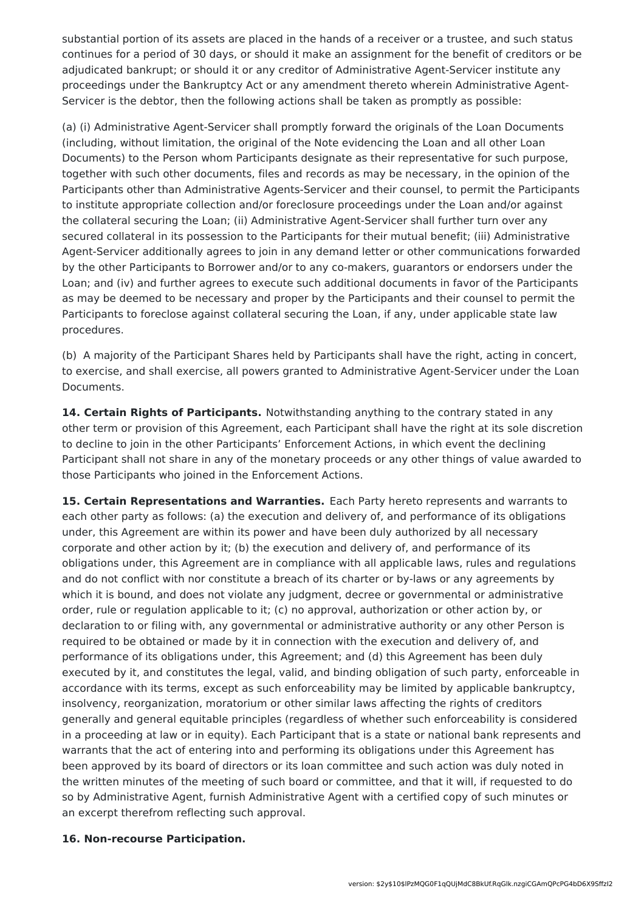substantial portion of its assets are placed in the hands of a receiver or a trustee, and such status continues for a period of 30 days, or should it make an assignment for the benefit of creditors or be adjudicated bankrupt; or should it or any creditor of Administrative Agent-Servicer institute any proceedings under the Bankruptcy Act or any amendment thereto wherein Administrative Agent-Servicer is the debtor, then the following actions shall be taken as promptly as possible:

(a) (i) Administrative Agent-Servicer shall promptly forward the originals of the Loan Documents (including, without limitation, the original of the Note evidencing the Loan and all other Loan Documents) to the Person whom Participants designate as their representative for such purpose, together with such other documents, files and records as may be necessary, in the opinion of the Participants other than Administrative Agents-Servicer and their counsel, to permit the Participants to institute appropriate collection and/or foreclosure proceedings under the Loan and/or against the collateral securing the Loan; (ii) Administrative Agent-Servicer shall further turn over any secured collateral in its possession to the Participants for their mutual benefit; (iii) Administrative Agent-Servicer additionally agrees to join in any demand letter or other communications forwarded by the other Participants to Borrower and/or to any co-makers, guarantors or endorsers under the Loan; and (iv) and further agrees to execute such additional documents in favor of the Participants as may be deemed to be necessary and proper by the Participants and their counsel to permit the Participants to foreclose against collateral securing the Loan, if any, under applicable state law procedures.

(b) A majority of the Participant Shares held by Participants shall have the right, acting in concert, to exercise, and shall exercise, all powers granted to Administrative Agent-Servicer under the Loan Documents.

**14. Certain Rights of Participants.** Notwithstanding anything to the contrary stated in any other term or provision of this Agreement, each Participant shall have the right at its sole discretion to decline to join in the other Participants' Enforcement Actions, in which event the declining Participant shall not share in any of the monetary proceeds or any other things of value awarded to those Participants who joined in the Enforcement Actions.

**15. Certain Representations and Warranties.** Each Party hereto represents and warrants to each other party as follows: (a) the execution and delivery of, and performance of its obligations under, this Agreement are within its power and have been duly authorized by all necessary corporate and other action by it; (b) the execution and delivery of, and performance of its obligations under, this Agreement are in compliance with all applicable laws, rules and regulations and do not conflict with nor constitute a breach of its charter or by-laws or any agreements by which it is bound, and does not violate any judgment, decree or governmental or administrative order, rule or regulation applicable to it; (c) no approval, authorization or other action by, or declaration to or filing with, any governmental or administrative authority or any other Person is required to be obtained or made by it in connection with the execution and delivery of, and performance of its obligations under, this Agreement; and (d) this Agreement has been duly executed by it, and constitutes the legal, valid, and binding obligation of such party, enforceable in accordance with its terms, except as such enforceability may be limited by applicable bankruptcy, insolvency, reorganization, moratorium or other similar laws affecting the rights of creditors generally and general equitable principles (regardless of whether such enforceability is considered in a proceeding at law or in equity). Each Participant that is a state or national bank represents and warrants that the act of entering into and performing its obligations under this Agreement has been approved by its board of directors or its loan committee and such action was duly noted in the written minutes of the meeting of such board or committee, and that it will, if requested to do so by Administrative Agent, furnish Administrative Agent with a certified copy of such minutes or an excerpt therefrom reflecting such approval.

#### **16. Non-recourse Participation.**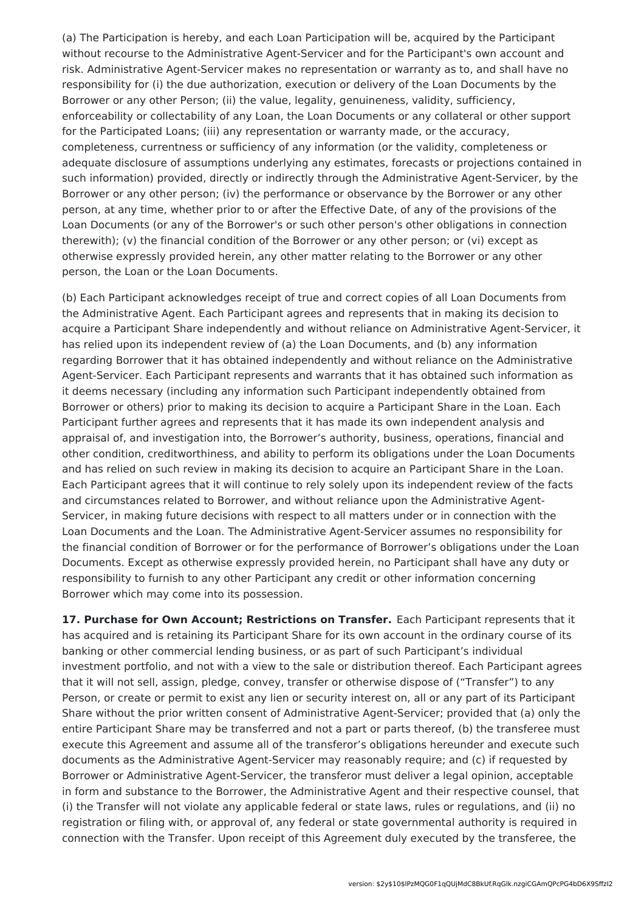(a) The Participation is hereby, and each Loan Participation will be, acquired by the Participant without recourse to the Administrative Agent-Servicer and for the Participant's own account and risk. Administrative Agent-Servicer makes no representation or warranty as to, and shall have no responsibility for (i) the due authorization, execution or delivery of the Loan Documents by the Borrower or any other Person; (ii) the value, legality, genuineness, validity, sufficiency, enforceability or collectability of any Loan, the Loan Documents or any collateral or other support for the Participated Loans; (iii) any representation or warranty made, or the accuracy, completeness, currentness or sufficiency of any information (or the validity, completeness or adequate disclosure of assumptions underlying any estimates, forecasts or projections contained in such information) provided, directly or indirectly through the Administrative Agent-Servicer, by the Borrower or any other person; (iv) the performance or observance by the Borrower or any other person, at any time, whether prior to or after the Effective Date, of any of the provisions of the Loan Documents (or any of the Borrower's or such other person's other obligations in connection therewith); (v) the financial condition of the Borrower or any other person; or (vi) except as otherwise expressly provided herein, any other matter relating to the Borrower or any other person, the Loan or the Loan Documents.

(b) Each Participant acknowledges receipt of true and correct copies of all Loan Documents from the Administrative Agent. Each Participant agrees and represents that in making its decision to acquire a Participant Share independently and without reliance on Administrative Agent-Servicer, it has relied upon its independent review of (a) the Loan Documents, and (b) any information regarding Borrower that it has obtained independently and without reliance on the Administrative Agent-Servicer. Each Participant represents and warrants that it has obtained such information as it deems necessary (including any information such Participant independently obtained from Borrower or others) prior to making its decision to acquire a Participant Share in the Loan. Each Participant further agrees and represents that it has made its own independent analysis and appraisal of, and investigation into, the Borrower's authority, business, operations, financial and other condition, creditworthiness, and ability to perform its obligations under the Loan Documents and has relied on such review in making its decision to acquire an Participant Share in the Loan. Each Participant agrees that it will continue to rely solely upon its independent review of the facts and circumstances related to Borrower, and without reliance upon the Administrative Agent-Servicer, in making future decisions with respect to all matters under or in connection with the Loan Documents and the Loan. The Administrative Agent-Servicer assumes no responsibility for the financial condition of Borrower or for the performance of Borrower's obligations under the Loan Documents. Except as otherwise expressly provided herein, no Participant shall have any duty or responsibility to furnish to any other Participant any credit or other information concerning Borrower which may come into its possession.

**17. Purchase for Own Account; Restrictions on Transfer.** Each Participant represents that it has acquired and is retaining its Participant Share for its own account in the ordinary course of its banking or other commercial lending business, or as part of such Participant's individual investment portfolio, and not with a view to the sale or distribution thereof. Each Participant agrees that it will not sell, assign, pledge, convey, transfer or otherwise dispose of ("Transfer") to any Person, or create or permit to exist any lien or security interest on, all or any part of its Participant Share without the prior written consent of Administrative Agent-Servicer; provided that (a) only the entire Participant Share may be transferred and not a part or parts thereof, (b) the transferee must execute this Agreement and assume all of the transferor's obligations hereunder and execute such documents as the Administrative Agent-Servicer may reasonably require; and (c) if requested by Borrower or Administrative Agent-Servicer, the transferor must deliver a legal opinion, acceptable in form and substance to the Borrower, the Administrative Agent and their respective counsel, that (i) the Transfer will not violate any applicable federal or state laws, rules or regulations, and (ii) no registration or filing with, or approval of, any federal or state governmental authority is required in connection with the Transfer. Upon receipt of this Agreement duly executed by the transferee, the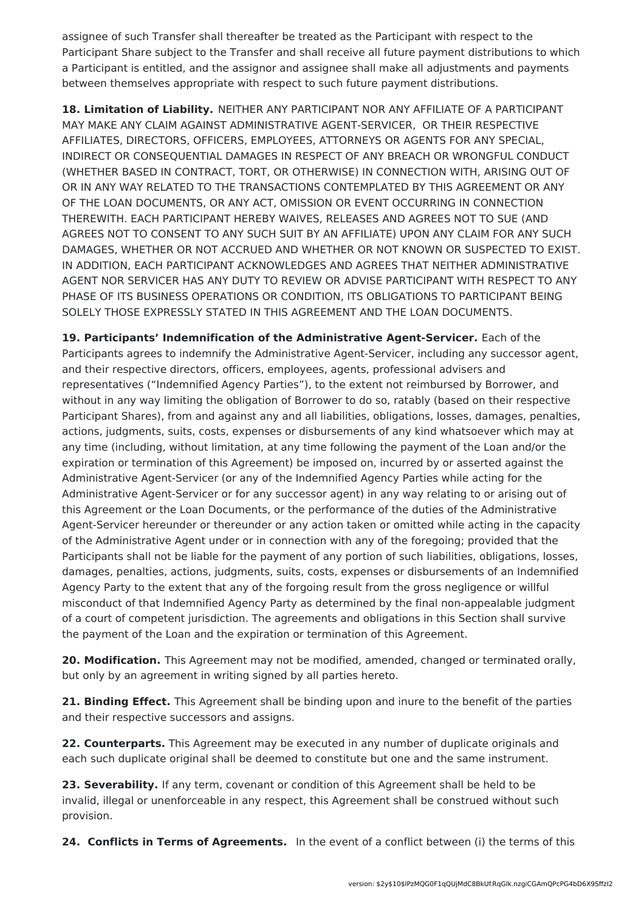assignee of such Transfer shall thereafter be treated as the Participant with respect to the Participant Share subject to the Transfer and shall receive all future payment distributions to which a Participant is entitled, and the assignor and assignee shall make all adjustments and payments between themselves appropriate with respect to such future payment distributions.

**18. Limitation of Liability.** NEITHER ANY PARTICIPANT NOR ANY AFFILIATE OF A PARTICIPANT MAY MAKE ANY CLAIM AGAINST ADMINISTRATIVE AGENT-SERVICER, OR THEIR RESPECTIVE AFFILIATES, DIRECTORS, OFFICERS, EMPLOYEES, ATTORNEYS OR AGENTS FOR ANY SPECIAL, INDIRECT OR CONSEQUENTIAL DAMAGES IN RESPECT OF ANY BREACH OR WRONGFUL CONDUCT (WHETHER BASED IN CONTRACT, TORT, OR OTHERWISE) IN CONNECTION WITH, ARISING OUT OF OR IN ANY WAY RELATED TO THE TRANSACTIONS CONTEMPLATED BY THIS AGREEMENT OR ANY OF THE LOAN DOCUMENTS, OR ANY ACT, OMISSION OR EVENT OCCURRING IN CONNECTION THEREWITH. EACH PARTICIPANT HEREBY WAIVES, RELEASES AND AGREES NOT TO SUE (AND AGREES NOT TO CONSENT TO ANY SUCH SUIT BY AN AFFILIATE) UPON ANY CLAIM FOR ANY SUCH DAMAGES, WHETHER OR NOT ACCRUED AND WHETHER OR NOT KNOWN OR SUSPECTED TO EXIST. IN ADDITION, EACH PARTICIPANT ACKNOWLEDGES AND AGREES THAT NEITHER ADMINISTRATIVE AGENT NOR SERVICER HAS ANY DUTY TO REVIEW OR ADVISE PARTICIPANT WITH RESPECT TO ANY PHASE OF ITS BUSINESS OPERATIONS OR CONDITION, ITS OBLIGATIONS TO PARTICIPANT BEING SOLELY THOSE EXPRESSLY STATED IN THIS AGREEMENT AND THE LOAN DOCUMENTS.

**19. Participants' Indemnification of the Administrative Agent-Servicer.** Each of the Participants agrees to indemnify the Administrative Agent-Servicer, including any successor agent, and their respective directors, officers, employees, agents, professional advisers and representatives ("Indemnified Agency Parties"), to the extent not reimbursed by Borrower, and without in any way limiting the obligation of Borrower to do so, ratably (based on their respective Participant Shares), from and against any and all liabilities, obligations, losses, damages, penalties, actions, judgments, suits, costs, expenses or disbursements of any kind whatsoever which may at any time (including, without limitation, at any time following the payment of the Loan and/or the expiration or termination of this Agreement) be imposed on, incurred by or asserted against the Administrative Agent-Servicer (or any of the Indemnified Agency Parties while acting for the Administrative Agent-Servicer or for any successor agent) in any way relating to or arising out of this Agreement or the Loan Documents, or the performance of the duties of the Administrative Agent-Servicer hereunder or thereunder or any action taken or omitted while acting in the capacity of the Administrative Agent under or in connection with any of the foregoing; provided that the Participants shall not be liable for the payment of any portion of such liabilities, obligations, losses, damages, penalties, actions, judgments, suits, costs, expenses or disbursements of an Indemnified Agency Party to the extent that any of the forgoing result from the gross negligence or willful misconduct of that Indemnified Agency Party as determined by the final non-appealable judgment of a court of competent jurisdiction. The agreements and obligations in this Section shall survive the payment of the Loan and the expiration or termination of this Agreement.

**20. Modification.** This Agreement may not be modified, amended, changed or terminated orally, but only by an agreement in writing signed by all parties hereto.

**21. Binding Effect.** This Agreement shall be binding upon and inure to the benefit of the parties and their respective successors and assigns.

**22. Counterparts.** This Agreement may be executed in any number of duplicate originals and each such duplicate original shall be deemed to constitute but one and the same instrument.

**23. Severability.** If any term, covenant or condition of this Agreement shall be held to be invalid, illegal or unenforceable in any respect, this Agreement shall be construed without such provision.

**24. Conflicts in Terms of Agreements.** In the event of a conflict between (i) the terms of this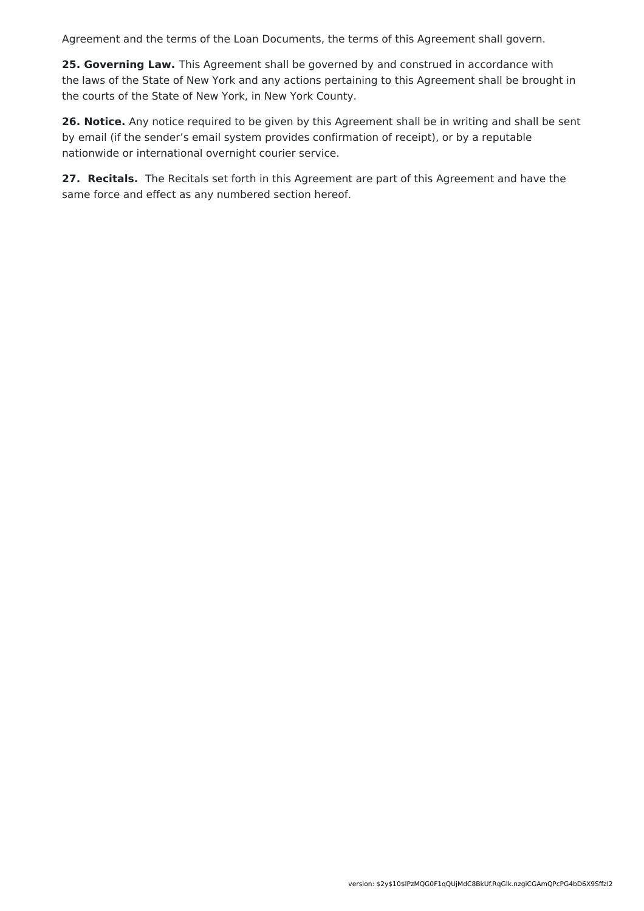Agreement and the terms of the Loan Documents, the terms of this Agreement shall govern.

**25. Governing Law.** This Agreement shall be governed by and construed in accordance with the laws of the State of New York and any actions pertaining to this Agreement shall be brought in the courts of the State of New York, in New York County.

**26. Notice.** Any notice required to be given by this Agreement shall be in writing and shall be sent by email (if the sender's email system provides confirmation of receipt), or by a reputable nationwide or international overnight courier service.

**27. Recitals.** The Recitals set forth in this Agreement are part of this Agreement and have the same force and effect as any numbered section hereof.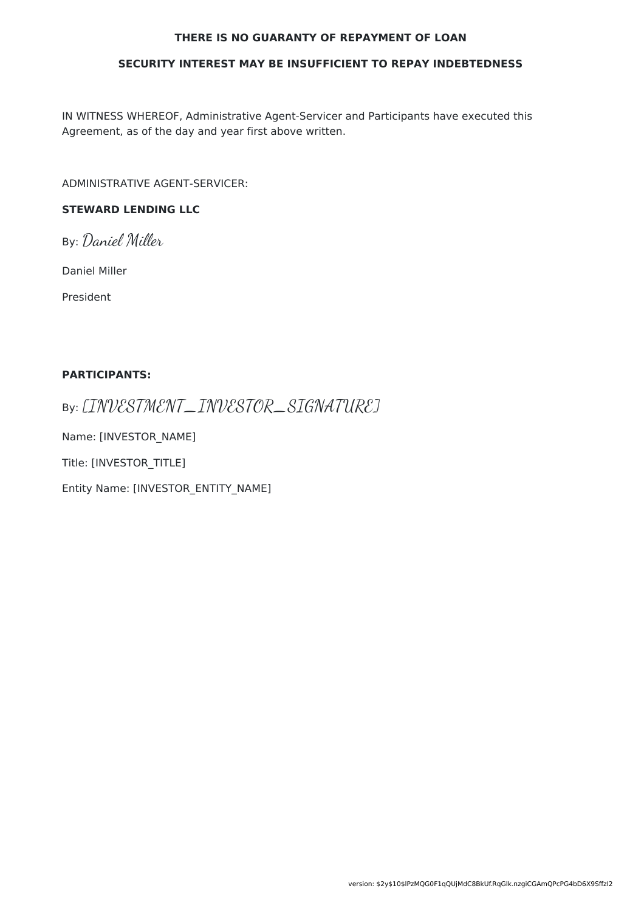#### **THERE IS NO GUARANTY OF REPAYMENT OF LOAN**

#### **SECURITY INTEREST MAY BE INSUFFICIENT TO REPAY INDEBTEDNESS**

IN WITNESS WHEREOF, Administrative Agent-Servicer and Participants have executed this Agreement, as of the day and year first above written.

ADMINISTRATIVE AGENT-SERVICER:

### **STEWARD LENDING LLC**

By: Daniel Miller

Daniel Miller

President

#### **PARTICIPANTS:**

By: [INVESTMENT\_INVESTOR\_SIGNATURE]

Name: [INVESTOR\_NAME]

Title: [INVESTOR\_TITLE]

Entity Name: [INVESTOR\_ENTITY\_NAME]